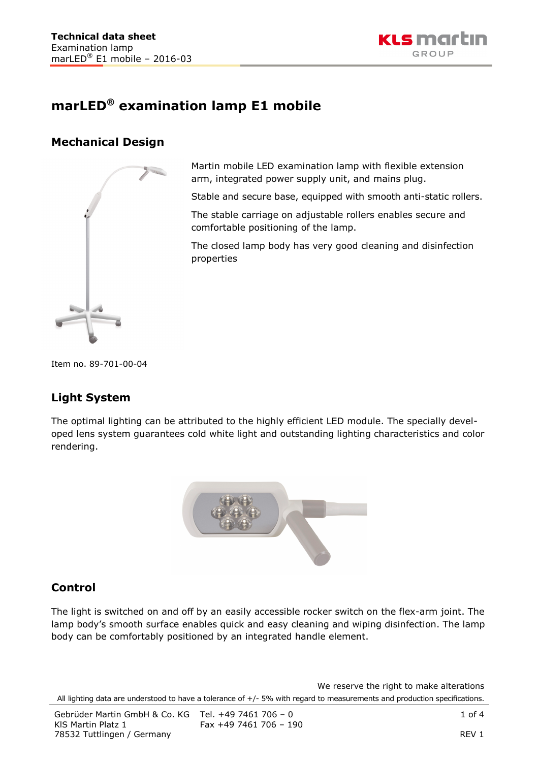

# **marLED® examination lamp E1 mobile**

## **Mechanical Design**



Martin mobile LED examination lamp with flexible extension arm, integrated power supply unit, and mains plug.

Stable and secure base, equipped with smooth anti-static rollers.

The stable carriage on adjustable rollers enables secure and comfortable positioning of the lamp.

The closed lamp body has very good cleaning and disinfection properties

Item no. 89-701-00-04

## **Light System**

The optimal lighting can be attributed to the highly efficient LED module. The specially developed lens system guarantees cold white light and outstanding lighting characteristics and color rendering.



### **Control**

The light is switched on and off by an easily accessible rocker switch on the flex-arm joint. The lamp body's smooth surface enables quick and easy cleaning and wiping disinfection. The lamp body can be comfortably positioned by an integrated handle element.

We reserve the right to make alterations All lighting data are understood to have a tolerance of +/- 5% with regard to measurements and production specifications.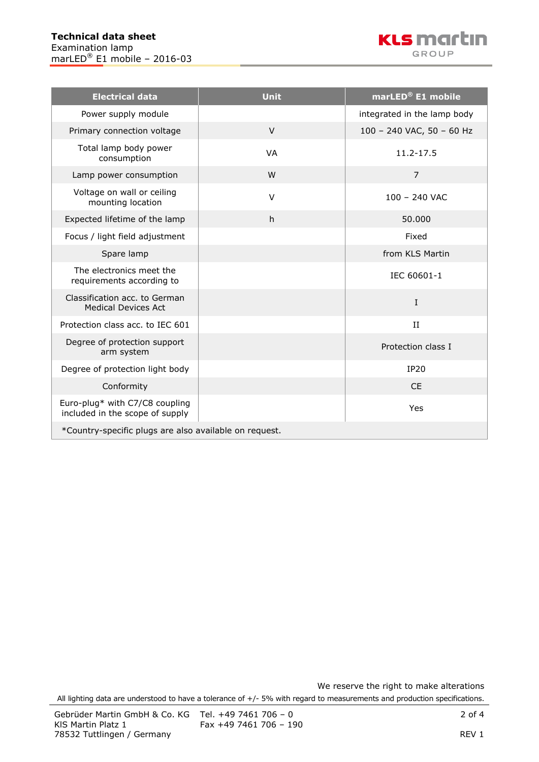

| <b>Electrical data</b>                                            | <b>Unit</b> | marLED® E1 mobile           |  |  |
|-------------------------------------------------------------------|-------------|-----------------------------|--|--|
| Power supply module                                               |             | integrated in the lamp body |  |  |
| Primary connection voltage                                        | $\vee$      | 100 - 240 VAC, 50 - 60 Hz   |  |  |
| Total lamp body power<br>consumption                              | <b>VA</b>   | 11.2-17.5                   |  |  |
| Lamp power consumption                                            | W           | $\overline{7}$              |  |  |
| Voltage on wall or ceiling<br>mounting location                   | $\vee$      | $100 - 240$ VAC             |  |  |
| Expected lifetime of the lamp                                     | h           | 50.000                      |  |  |
| Focus / light field adjustment                                    |             | Fixed                       |  |  |
| Spare lamp                                                        |             | from KLS Martin             |  |  |
| The electronics meet the<br>requirements according to             |             | IEC 60601-1                 |  |  |
| Classification acc. to German<br><b>Medical Devices Act</b>       |             | $\mathbf I$                 |  |  |
| Protection class acc. to IEC 601                                  |             | $_{\rm II}$                 |  |  |
| Degree of protection support<br>arm system                        |             | Protection class I          |  |  |
| Degree of protection light body                                   |             | <b>IP20</b>                 |  |  |
| Conformity                                                        |             | <b>CE</b>                   |  |  |
| Euro-plug* with C7/C8 coupling<br>included in the scope of supply |             | Yes                         |  |  |
| *Country-specific plugs are also available on request.            |             |                             |  |  |

We reserve the right to make alterations

All lighting data are understood to have a tolerance of +/- 5% with regard to measurements and production specifications.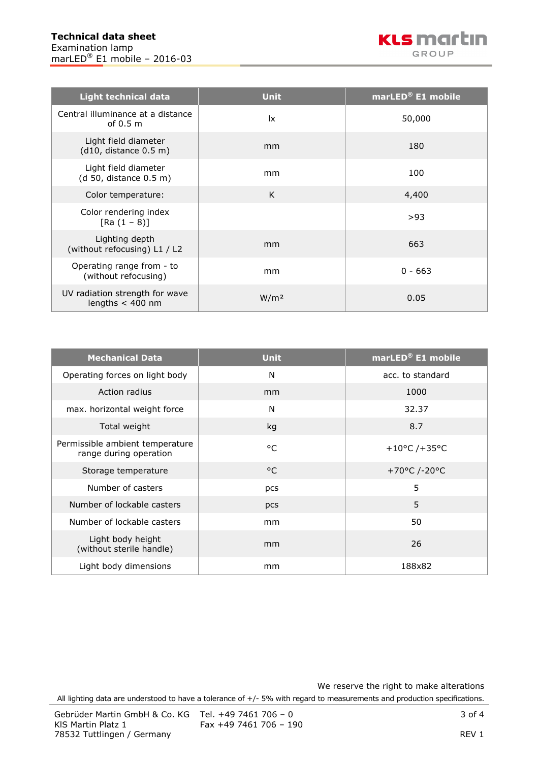

| <b>Light technical data</b>                          | <b>Unit</b>      | marLED® E1 mobile |
|------------------------------------------------------|------------------|-------------------|
| Central illuminance at a distance<br>of $0.5m$       | <u>lx</u>        | 50,000            |
| Light field diameter<br>(d10, distance 0.5 m)        | mm               | 180               |
| Light field diameter<br>(d 50, distance 0.5 m)       | mm               | 100               |
| Color temperature:                                   | K                | 4,400             |
| Color rendering index<br>$[Ra (1 - 8)]$              |                  | >93               |
| Lighting depth<br>(without refocusing) L1 / L2       | mm               | 663               |
| Operating range from - to<br>(without refocusing)    | mm               | $0 - 663$         |
| UV radiation strength for wave<br>lengths $<$ 400 nm | W/m <sup>2</sup> | 0.05              |

| <b>Mechanical Data</b>                                    | <b>Unit</b>  | marLED® E1 mobile |
|-----------------------------------------------------------|--------------|-------------------|
| Operating forces on light body                            | N            | acc. to standard  |
| Action radius                                             | mm           | 1000              |
| max. horizontal weight force                              | N            | 32.37             |
| Total weight                                              | kg           | 8.7               |
| Permissible ambient temperature<br>range during operation | $^{\circ}$ C | +10°C /+35°C      |
| Storage temperature                                       | $^{\circ}$ C | +70°C /-20°C      |
| Number of casters                                         | pcs          | 5                 |
| Number of lockable casters                                | pcs          | 5                 |
| Number of lockable casters                                | mm           | 50                |
| Light body height<br>(without sterile handle)             | mm           | 26                |
| Light body dimensions                                     | mm           | 188x82            |

We reserve the right to make alterations All lighting data are understood to have a tolerance of +/- 5% with regard to measurements and production specifications.